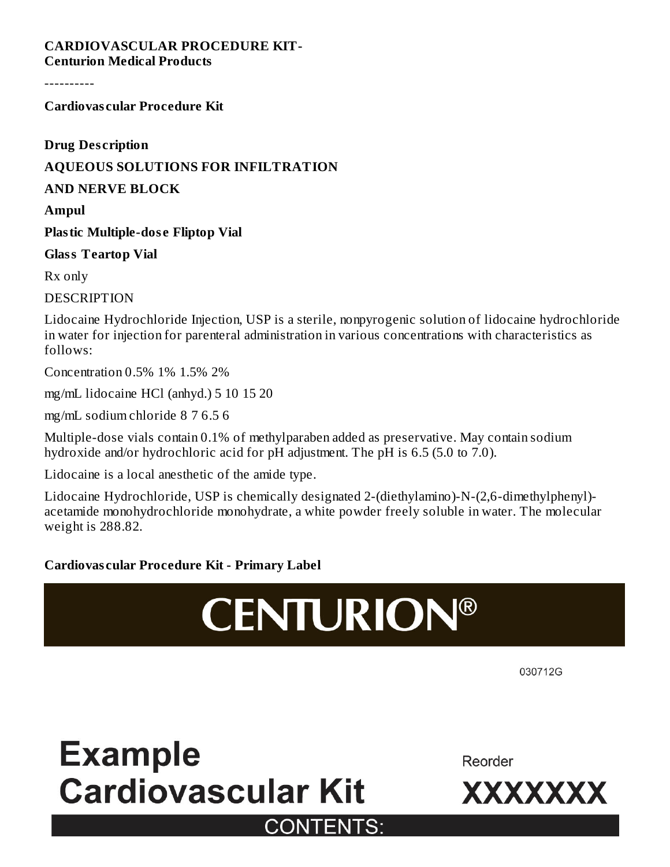#### **CARDIOVASCULAR PROCEDURE KIT-Centurion Medical Products**

----------

**Cardiovas cular Procedure Kit**

**Drug Des cription**

### **AQUEOUS SOLUTIONS FOR INFILTRATION**

**AND NERVE BLOCK**

**Ampul**

**Plastic Multiple-dos e Fliptop Vial**

**Glass Teartop Vial**

Rx only

**DESCRIPTION** 

Lidocaine Hydrochloride Injection, USP is a sterile, nonpyrogenic solution of lidocaine hydrochloride in water for injection for parenteral administration in various concentrations with characteristics as follows:

Concentration 0.5% 1% 1.5% 2%

mg/mL lidocaine HCl (anhyd.) 5 10 15 20

mg/mL sodium chloride 8 7 6.5 6

Multiple-dose vials contain 0.1% of methylparaben added as preservative. May contain sodium hydroxide and/or hydrochloric acid for pH adjustment. The pH is 6.5 (5.0 to 7.0).

Lidocaine is a local anesthetic of the amide type.

Lidocaine Hydrochloride, USP is chemically designated 2-(diethylamino)-N-(2,6-dimethylphenyl) acetamide monohydrochloride monohydrate, a white powder freely soluble in water. The molecular weight is 288.82.

### **Cardiovas cular Procedure Kit - Primary Label**

# **CENTURION®**

030712G

## **Example Cardiovascular Kit CONTENTS:**

Reorder

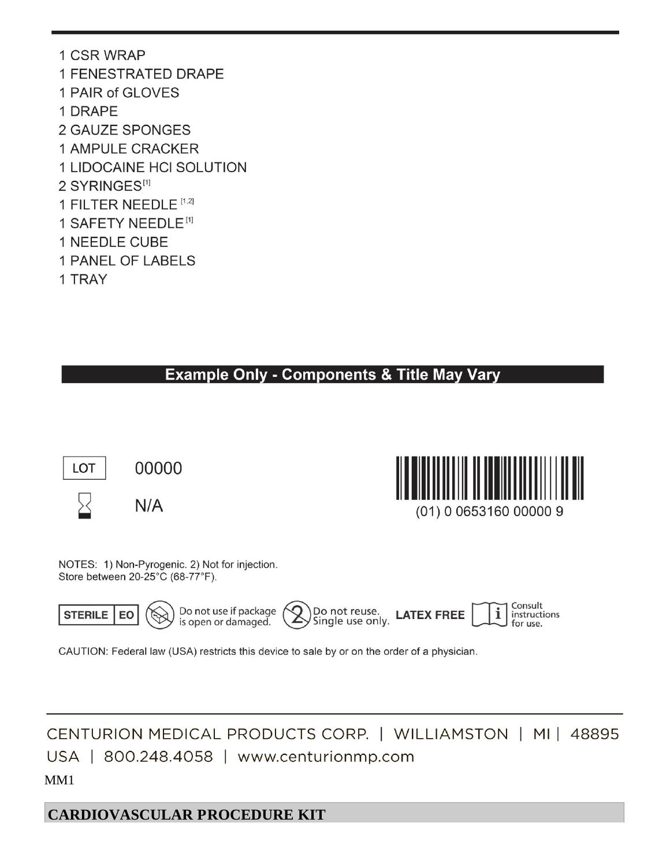1 CSR WRAP **1 FENESTRATED DRAPE** 1 PAIR of GLOVES 1 DRAPE **2 GAUZE SPONGES 1 AMPULE CRACKER** 1 LIDOCAINE HCI SOLUTION 2 SYRINGES<sup>[1]</sup> 1 FILTER NEEDLE [1,2] 1 SAFETY NEEDLE<sup>[1]</sup> 1 NEEDLE CUBE 1 PANEL OF LABELS 1 TRAY

### **Example Only - Components & Title May Vary**





NOTES: 1) Non-Pyrogenic. 2) Not for injection. Store between 20-25°C (68-77°F).



CAUTION: Federal law (USA) restricts this device to sale by or on the order of a physician.

CENTURION MEDICAL PRODUCTS CORP. | WILLIAMSTON | MI | 48895 USA | 800.248.4058 | www.centurionmp.com

MM1

**CARDIOVASCULAR PROCEDURE KIT**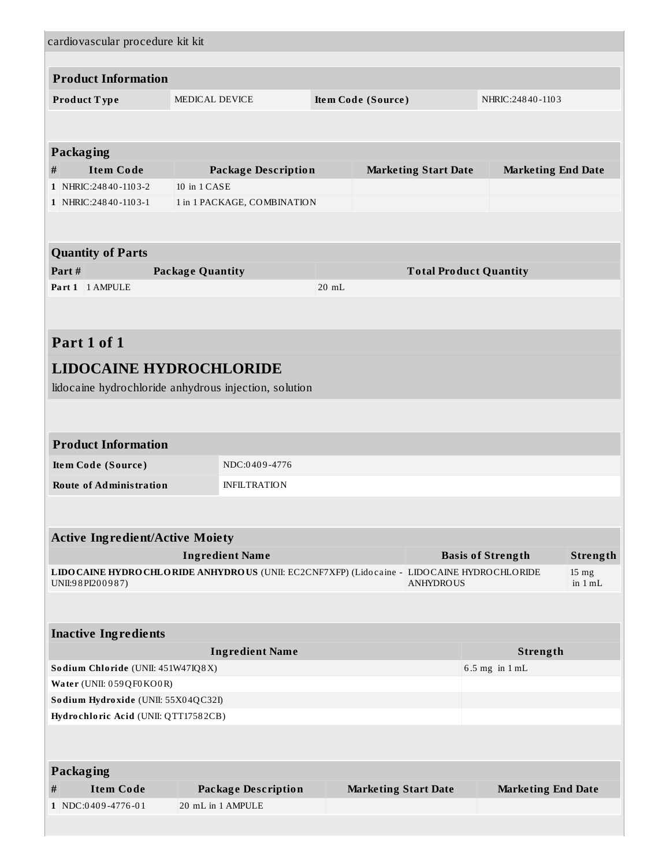|                                                                                                   | cardiovascular procedure kit kit                      |                    |                               |                                      |  |  |
|---------------------------------------------------------------------------------------------------|-------------------------------------------------------|--------------------|-------------------------------|--------------------------------------|--|--|
| <b>Product Information</b>                                                                        |                                                       |                    |                               |                                      |  |  |
|                                                                                                   |                                                       |                    |                               |                                      |  |  |
| Product Type                                                                                      | MEDICAL DEVICE                                        | Item Code (Source) |                               | NHRIC: 24840-1103                    |  |  |
|                                                                                                   |                                                       |                    |                               |                                      |  |  |
| Packaging                                                                                         |                                                       |                    |                               |                                      |  |  |
| <b>Item Code</b><br>#                                                                             | <b>Package Description</b>                            |                    | <b>Marketing Start Date</b>   | <b>Marketing End Date</b>            |  |  |
| 1 NHRIC: 24840-1103-2                                                                             | 10 in 1 CASE                                          |                    |                               |                                      |  |  |
| 1   NHRIC: 248 40 - 110 3 - 1                                                                     | 1 in 1 PACKAGE, COMBINATION                           |                    |                               |                                      |  |  |
|                                                                                                   |                                                       |                    |                               |                                      |  |  |
| <b>Quantity of Parts</b>                                                                          |                                                       |                    |                               |                                      |  |  |
| Part#                                                                                             | <b>Package Quantity</b>                               |                    | <b>Total Product Quantity</b> |                                      |  |  |
| Part 1 1 AMPULE                                                                                   |                                                       | $20$ mL            |                               |                                      |  |  |
|                                                                                                   |                                                       |                    |                               |                                      |  |  |
|                                                                                                   |                                                       |                    |                               |                                      |  |  |
| Part 1 of 1                                                                                       |                                                       |                    |                               |                                      |  |  |
| <b>LIDOCAINE HYDROCHLORIDE</b>                                                                    |                                                       |                    |                               |                                      |  |  |
|                                                                                                   | lidocaine hydrochloride anhydrous injection, solution |                    |                               |                                      |  |  |
|                                                                                                   |                                                       |                    |                               |                                      |  |  |
| <b>Product Information</b>                                                                        |                                                       |                    |                               |                                      |  |  |
| NDC:0409-4776<br>Item Code (Source)                                                               |                                                       |                    |                               |                                      |  |  |
| <b>Route of Administration</b><br><b>INFILTRATION</b>                                             |                                                       |                    |                               |                                      |  |  |
|                                                                                                   |                                                       |                    |                               |                                      |  |  |
| <b>Active Ingredient/Active Moiety</b>                                                            |                                                       |                    |                               |                                      |  |  |
|                                                                                                   | <b>Ingredient Name</b>                                |                    |                               | <b>Basis of Strength</b><br>Strength |  |  |
| LIDO CAINE HYDRO CHLO RIDE ANHYDRO US (UNII: EC2CNF7XFP) (Lido caine - LIDO CAINE HYDRO CHLO RIDE |                                                       |                    | $15 \text{ mg}$               |                                      |  |  |
| UNII:98PI200987)                                                                                  |                                                       | <b>ANHYDROUS</b>   |                               | in $1 mL$                            |  |  |
|                                                                                                   |                                                       |                    |                               |                                      |  |  |
| <b>Inactive Ingredients</b>                                                                       |                                                       |                    |                               |                                      |  |  |
|                                                                                                   | <b>Ingredient Name</b>                                |                    |                               | Strength                             |  |  |
| Sodium Chloride (UNII: 451W47IQ8X)                                                                |                                                       |                    |                               | $6.5$ mg in $1$ mL                   |  |  |
| Water (UNII: 059QF0KO0R)                                                                          |                                                       |                    |                               |                                      |  |  |
| Sodium Hydroxide (UNII: 55X04QC32I)                                                               |                                                       |                    |                               |                                      |  |  |
| Hydrochloric Acid (UNII: QTT17582CB)                                                              |                                                       |                    |                               |                                      |  |  |
|                                                                                                   |                                                       |                    |                               |                                      |  |  |
| <b>Packaging</b>                                                                                  |                                                       |                    |                               |                                      |  |  |
| <b>Item Code</b><br>#                                                                             | <b>Package Description</b>                            |                    | <b>Marketing Start Date</b>   | <b>Marketing End Date</b>            |  |  |
| 1   NDC:0409-4776-01                                                                              | 20 mL in 1 AMPULE                                     |                    |                               |                                      |  |  |
|                                                                                                   |                                                       |                    |                               |                                      |  |  |